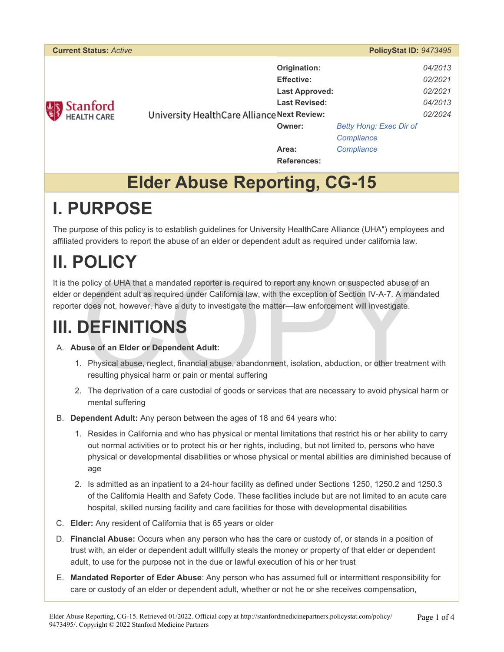| <b>Current Status: Active</b> | PolicyStat ID: 9473495                                                                                                            |                                                            |
|-------------------------------|-----------------------------------------------------------------------------------------------------------------------------------|------------------------------------------------------------|
| Stanford                      | Origination:<br><b>Effective:</b><br><b>Last Approved:</b><br><b>Last Revised:</b><br>University HealthCare Alliance Next Review: | 04/2013<br>02/2021<br>02/2021<br>04/2013<br>02/2024        |
|                               | Owner:<br>Area:                                                                                                                   | <b>Betty Hong: Exec Dir of</b><br>Compliance<br>Compliance |
|                               | <b>References:</b>                                                                                                                |                                                            |

#### **Elder Abuse Reporting, CG-15**

### **I. PURPOSE**

The purpose of this policy is to establish guidelines for University HealthCare Alliance (UHA") employees and affiliated providers to report the abuse of an elder or dependent adult as required under california law.

# **II. POLICY**

policy of UHA that a mandated reporter is required to report any known or suspected abuse of a<br>dependent adult as required under California law, with the exception of Section IV-A-7. A mand<br>does not, however, have a duty t It is the policy of UHA that a mandated reporter is required to report any known or suspected abuse of an elder or dependent adult as required under California law, with the exception of Section IV-A-7. A mandated reporter does not, however, have a duty to investigate the matter—law enforcement will investigate.

# **III. DEFINITIONS**

#### A. **Abuse of an Elder or Dependent Adult:**

- 1. Physical abuse, neglect, financial abuse, abandonment, isolation, abduction, or other treatment with resulting physical harm or pain or mental suffering
- 2. The deprivation of a care custodial of goods or services that are necessary to avoid physical harm or mental suffering
- B. **Dependent Adult:** Any person between the ages of 18 and 64 years who:
	- 1. Resides in California and who has physical or mental limitations that restrict his or her ability to carry out normal activities or to protect his or her rights, including, but not limited to, persons who have physical or developmental disabilities or whose physical or mental abilities are diminished because of age
	- 2. Is admitted as an inpatient to a 24-hour facility as defined under Sections 1250, 1250.2 and 1250.3 of the California Health and Safety Code. These facilities include but are not limited to an acute care hospital, skilled nursing facility and care facilities for those with developmental disabilities
- C. **Elder:** Any resident of California that is 65 years or older
- D. **Financial Abuse:** Occurs when any person who has the care or custody of, or stands in a position of trust with, an elder or dependent adult willfully steals the money or property of that elder or dependent adult, to use for the purpose not in the due or lawful execution of his or her trust
- E. **Mandated Reporter of Eder Abuse**: Any person who has assumed full or intermittent responsibility for care or custody of an elder or dependent adult, whether or not he or she receives compensation,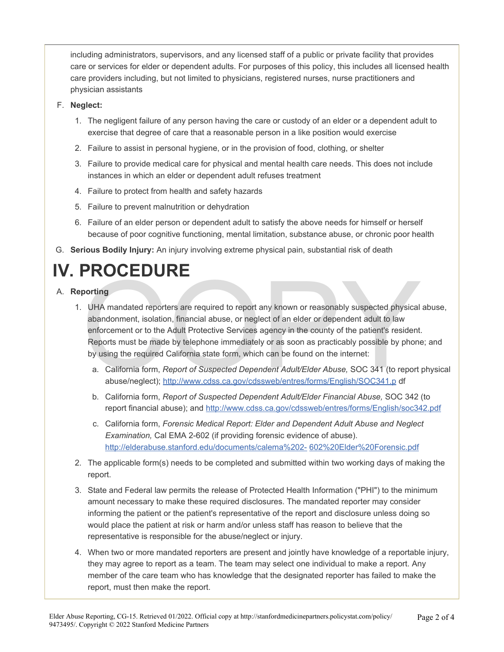including administrators, supervisors, and any licensed staff of a public or private facility that provides care or services for elder or dependent adults. For purposes of this policy, this includes all licensed health care providers including, but not limited to physicians, registered nurses, nurse practitioners and physician assistants

- F. **Neglect:** 
	- 1. The negligent failure of any person having the care or custody of an elder or a dependent adult to exercise that degree of care that a reasonable person in a like position would exercise
	- 2. Failure to assist in personal hygiene, or in the provision of food, clothing, or shelter
	- 3. Failure to provide medical care for physical and mental health care needs. This does not include instances in which an elder or dependent adult refuses treatment
	- 4. Failure to protect from health and safety hazards
	- 5. Failure to prevent malnutrition or dehydration
	- 6. Failure of an elder person or dependent adult to satisfy the above needs for himself or herself because of poor cognitive functioning, mental limitation, substance abuse, or chronic poor health
- G. **Serious Bodily Injury:** An injury involving extreme physical pain, substantial risk of death

# **IV. PROCEDURE**

- A. **Reporting**
- porting<br>
UHA mandated reporters are required to report any known or reasonably suspected physical<br>
abandonment, isolation, financial abuse, or neglect of an elder or dependent adult to law<br>
enforcement or to the Adult Prot 1. UHA mandated reporters are required to report any known or reasonably suspected physical abuse, abandonment, isolation, financial abuse, or neglect of an elder or dependent adult to law enforcement or to the Adult Protective Services agency in the county of the patient's resident. Reports must be made by telephone immediately or as soon as practicably possible by phone; and by using the required California state form, which can be found on the internet:
	- a. California form, *Report of Suspected Dependent Adult/Elder Abuse,* SOC 341 (to report physical abuse/neglect); http://www.cdss.ca.gov/cdssweb/entres/forms/English/SOC341.p df
	- b. California form, *Report of Suspected Dependent Adult/Elder Financial Abuse,* SOC 342 (to report financial abuse); and<http://www.cdss.ca.gov/cdssweb/entres/forms/English/soc342.pdf>
	- c. California form, *Forensic Medical Report: Elder and Dependent Adult Abuse and Neglect Examination,* Cal EMA 2-602 (if providing forensic evidence of abuse). [http://elderabuse.stanford.edu/documents/calema%202-](http://elderabuse.stanford.edu/documents/calema%202-602%20Elder%20Forensic.pdf) [602%20Elder%20Forensic.pdf](http://elderabuse.stanford.edu/documents/calema%202-602%20Elder%20Forensic.pdf)
	- 2. The applicable form(s) needs to be completed and submitted within two working days of making the report.
	- 3. State and Federal law permits the release of Protected Health Information ("PHI") to the minimum amount necessary to make these required disclosures. The mandated reporter may consider informing the patient or the patient's representative of the report and disclosure unless doing so would place the patient at risk or harm and/or unless staff has reason to believe that the representative is responsible for the abuse/neglect or injury.
	- 4. When two or more mandated reporters are present and jointly have knowledge of a reportable injury, they may agree to report as a team. The team may select one individual to make a report. Any member of the care team who has knowledge that the designated reporter has failed to make the report, must then make the report.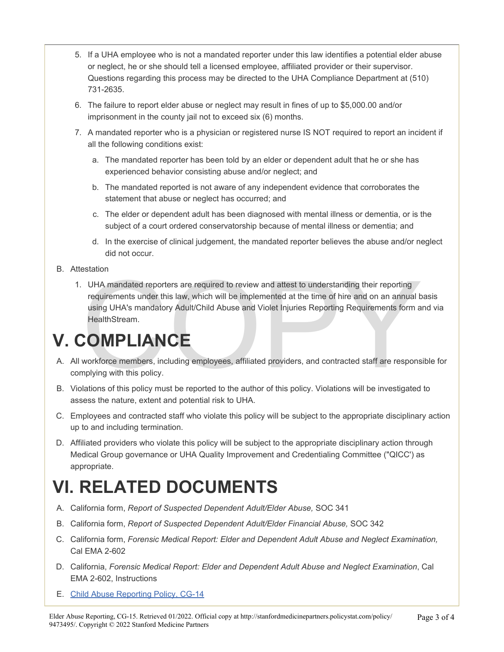- 5. If a UHA employee who is not a mandated reporter under this law identifies a potential elder abuse or neglect, he or she should tell a licensed employee, affiliated provider or their supervisor. Questions regarding this process may be directed to the UHA Compliance Department at (510) 731-2635.
- 6. The failure to report elder abuse or neglect may result in fines of up to \$5,000.00 and/or imprisonment in the county jail not to exceed six (6) months.
- 7. A mandated reporter who is a physician or registered nurse IS NOT required to report an incident if all the following conditions exist:
	- a. The mandated reporter has been told by an elder or dependent adult that he or she has experienced behavior consisting abuse and/or neglect; and
	- b. The mandated reported is not aware of any independent evidence that corroborates the statement that abuse or neglect has occurred; and
	- c. The elder or dependent adult has been diagnosed with mental illness or dementia, or is the subject of a court ordered conservatorship because of mental illness or dementia; and
	- d. In the exercise of clinical judgement, the mandated reporter believes the abuse and/or neglect did not occur.
- B. Attestation
	- UHA mandated reporters are required to review and attest to understanding their reporting<br>requirements under this law, which will be implemented at the time of hire and on an annual b<br>using UHA's mandatory Adult/Child Abus 1. UHA mandated reporters are required to review and attest to understanding their reporting requirements under this law, which will be implemented at the time of hire and on an annual basis using UHA's mandatory Adult/Child Abuse and Violet Injuries Reporting Requirements form and via HealthStream.

### **V. COMPLIANCE**

- A. All workforce members, including employees, affiliated providers, and contracted staff are responsible for complying with this policy.
- B. Violations of this policy must be reported to the author of this policy. Violations will be investigated to assess the nature, extent and potential risk to UHA.
- C. Employees and contracted staff who violate this policy will be subject to the appropriate disciplinary action up to and including termination.
- D. Affiliated providers who violate this policy will be subject to the appropriate disciplinary action through Medical Group governance or UHA Quality Improvement and Credentialing Committee ("QICC') as appropriate.

### **VI. RELATED DOCUMENTS**

- A. California form, *Report of Suspected Dependent Adult/Elder Abuse,* SOC 341
- B. California form, *Report of Suspected Dependent Adult/Elder Financial Abuse,* SOC 342
- C. California form, *Forensic Medical Report: Elder and Dependent Adult Abuse and Neglect Examination,*  Cal EMA 2-602
- D. California, *Forensic Medical Report: Elder and Dependent Adult Abuse and Neglect Examination*, Cal EMA 2-602, Instructions
- E. [Child Abuse Reporting Policy, CG-14](https://stanfordmedicinepartners.policystat.com/policy/9473491/latest/)